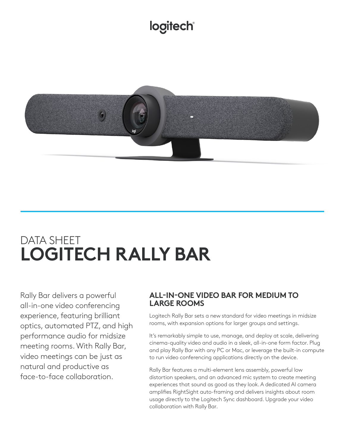# logitech®



# DATA SHEET **LOGITECH RALLY BAR**

Rally Bar delivers a powerful all-in-one video conferencing experience, featuring brilliant optics, automated PTZ, and high performance audio for midsize meeting rooms. With Rally Bar, video meetings can be just as natural and productive as face-to-face collaboration.

## **ALL-IN-ONE VIDEO BAR FOR MEDIUM TO LARGE ROOMS**

Logitech Rally Bar sets a new standard for video meetings in midsize rooms, with expansion options for larger groups and settings.

It's remarkably simple to use, manage, and deploy at scale, delivering cinema-quality video and audio in a sleek, all-in-one form factor. Plug and play Rally Bar with any PC or Mac, or leverage the built-in compute to run video conferencing applications directly on the device.

Rally Bar features a multi-element lens assembly, powerful low distortion speakers, and an advanced mic system to create meeting experiences that sound as good as they look. A dedicated AI camera amplifies RightSight auto-framing and delivers insights about room usage directly to the Logitech Sync dashboard. Upgrade your video collaboration with Rally Bar.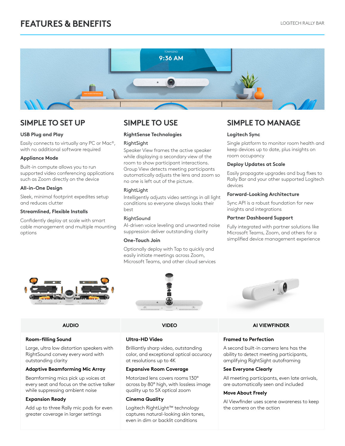

### **USB Plug and Play**

Easily connects to virtually any PC or Mac®, with no additional software required

### **Appliance Mode**

Built-in compute allows you to run supported video conferencing applications such as Zoom directly on the device

### **All-in-One Design**

Sleek, minimal footprint expedites setup and reduces clutter

### **Streamlined, Flexible Installs**

Confidently deploy at scale with smart cable management and multiple mounting options

### **RightSense Technologies**

### **RightSight**

Speaker View frames the active speaker while displaying a secondary view of the room to show participant interactions. Group View detects meeting participants automatically adjusts the lens and zoom so no one is left out of the picture.

### RightLight

Intelligently adjusts video settings in all light conditions so everyone always looks their best

### RightSound

AI-driven voice leveling and unwanted noise suppression deliver outstanding clarity

### **One-Touch Join**

Optionally deploy with Tap to quickly and easily initiate meetings across Zoom, Microsoft Teams, and other cloud services

**SIMPLE TO SET UP SIMPLE TO USE SIMPLE TO MANAGE**

### **Logitech Sync**

Single platform to monitor room health and keep devices up to date, plus insights on room occupancy

### **Deploy Updates at Scale**

Easily propagate upgrades and bug fixes to Rally Bar and your other supported Logitech devices

### **Forward-Looking Architecture**

Sync API is a robust foundation for new insights and integrations

### **Partner Dashboard Support**

Fully integrated with partner solutions like Microsoft Teams, Zoom, and others for a simplified device management experience





### **Room-filling Sound**

Large, ultra low distortion speakers with RightSound convey every word with outstanding clarity

### **Adaptive Beamforming Mic Array**

Beamforming mics pick up voices at every seat and focus on the active talker while suppressing ambient noise

### **Expansion Ready**

Add up to three Rally mic pods for even greater coverage in larger settings



### **Ultra-HD Video**

Brilliantly sharp video, outstanding color, and exceptional optical accuracy at resolutions up to 4K

### **Expansive Room Coverage**

Motorized lens covers rooms 130° across by 80° high, with lossless image quality up to 5X optical zoom

### **Cinema Quality**

Logitech RightLight™ technology captures natural-looking skin tones, even in dim or backlit conditions



### **AUDIO VIDEO AI VIEWFINDER**

### **Framed to Perfection**

A second built-in camera lens has the ability to detect meeting participants, amplifying RightSight autoframing

### **See Everyone Clearly**

All meeting participants, even late arrivals, are automatically seen and included

### **Move About Freely**

AI Viewfinder uses scene awareness to keep the camera on the action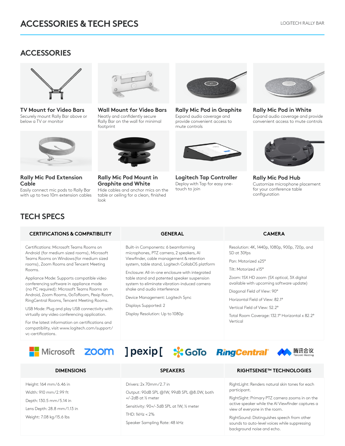## **ACCESSORIES**



**TV Mount for Video Bars** Securely mount Rally Bar above or below a TV or monitor



**Rally Mic Pod Extension Cable**

Easily connect mic pods to Rally Bar with up to two 10m extension cables



**Wall Mount for Video Bars** Neatly and confidently secure Rally Bar on the wall for minimal footprint



**Rally Mic Pod Mount in Graphite and White** Hide cables and anchor mics on the table or ceiling for a clean, finished

look



**Rally Mic Pod in Graphite** Expand audio coverage and provide convenient access to mute controls



**Logitech Tap Controller** Deploy with Tap for easy onetouch to join



**Rally Mic Pod in White** Expand audio coverage and provide convenient access to mute controls



**Rally Mic Pod Hub** Customize microphone placement for your conference table configuration

# **TECH SPECS**

### **CERTIFICATIONS & COMPATIBILITY GENERAL CAMERA**

Certifications: Microsoft Teams Rooms on Android (for medium sized rooms), Microsoft Teams Rooms on Windows(for medium sized rooms), Zoom Rooms and Tencent Meeting Rooms.

Appliance Mode: Supports compatible video conferencing software in appliance mode (no PC required): Microsoft Teams Rooms on Android, Zoom Rooms, GoToRoom, Pexip Room, RingCentral Rooms, Tencent Meeting Rooms.

USB Mode: Plug and play USB connectivity with virtually any video conferencing application.

For the latest information on certifications and compatibility, visit www.logitech.com/support/ vc-certifications.

Built-in Components: 6 beamforming microphones, PTZ camera, 2 speakers, AI Viewfinder, cable management & retention system, table stand, Logitech CollabOS platform

Enclosure: All-in-one enclosure with integrated table stand and patented speaker suspension system to eliminate vibration-induced camera shake and audio interference

Device Management: Logitech Sync

Displays Supported: 2

Display Resolution: Up to 1080p

Resolution: 4K, 1440p, 1080p, 900p, 720p, and SD at 30fps

Pan: Motorized ±25°

Tilt: Motorized ±15°

Zoom: 15X HD zoom (5X optical, 3X digital available with upcoming software update)

Diagonal Field of View: 90°

Horizontal Field of View: 82.1°

Vertical Field of View: 52.2°

Total Room Coverage: 132.1° Horizontal x 82.2° Vertical



Height: 164 mm / 6.46 in Width: 910 mm/2.99 ft Depth: 130.5 mm / 5.14 in Lens Depth: 28.8 mm/1.13 in Weight: 7.08 kg/15.6 lbs

Output: 90dB SPL @1W, 99dB SPL @8.0W, both +/-2dB at ½ meter

Sensitivity: 90+/-3dB SPL at 1W, ½ meter

THD: 1kHz < 2%

Drivers: 2x 70mm / 2.7 in

Speaker Sampling Rate: 48 kHz

### **DIMENSIONS SPEAKERS RIGHTSENSE™ TECHNOLOGIES**

RightLight: Renders natural skin tones for each participant.

RightSight: Primary PTZ camera zooms in on the active speaker while the AI Viewfinder captures a view of everyone in the room.

RightSound: Distinguishes speech from other sounds to auto-level voices while suppressing background noise and echo.